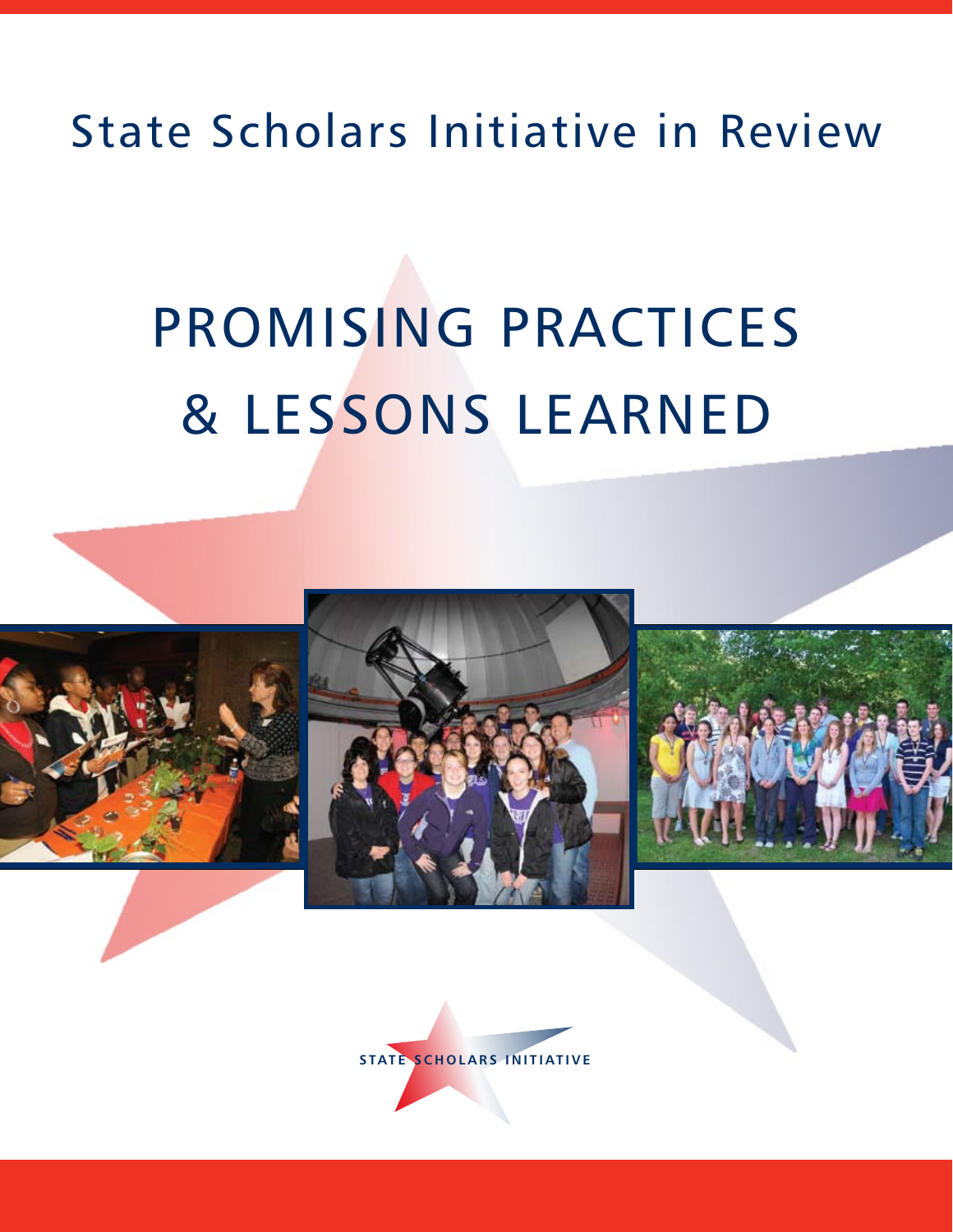# State Scholars Initiative in Review

# PROMISING PRACTICES & LESSONS LEARNED







**STATE SCHOLARS INITIATIVE**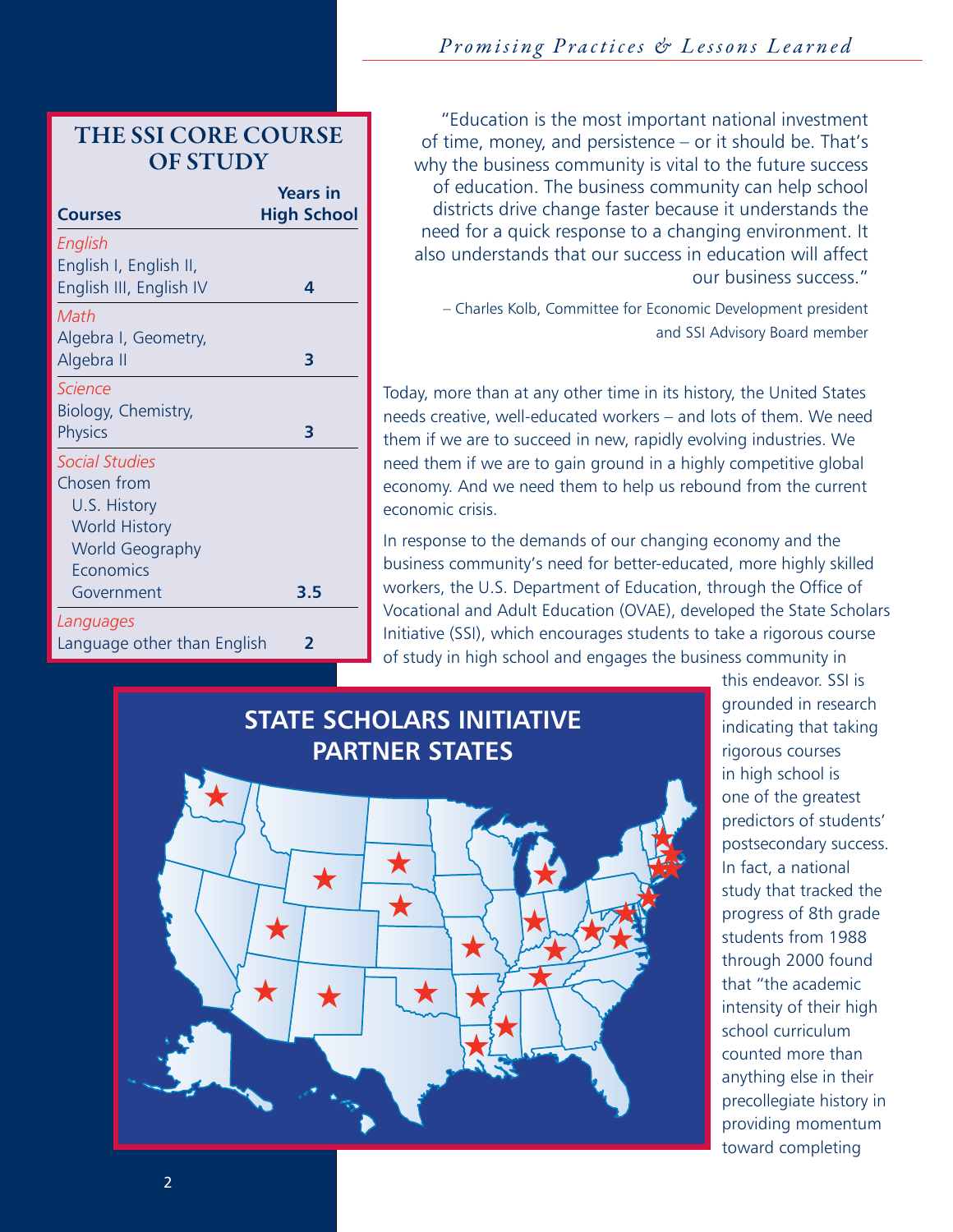# *Promising Practices & Lessons Learned*

THE SSI CORE COURSE OF STUDY

|                             | <b>Years in</b>    |
|-----------------------------|--------------------|
| <b>Courses</b>              | <b>High School</b> |
| English                     |                    |
| English I, English II,      |                    |
| English III, English IV     | 4                  |
| Math                        |                    |
| Algebra I, Geometry,        |                    |
| Algebra II                  | 3                  |
| <b>Science</b>              |                    |
| Biology, Chemistry,         |                    |
| <b>Physics</b>              | 3                  |
| <b>Social Studies</b>       |                    |
| Chosen from                 |                    |
| U.S. History                |                    |
| <b>World History</b>        |                    |
| <b>World Geography</b>      |                    |
| Economics                   |                    |
| Government                  | 3.5                |
| Languages                   |                    |
| Language other than English | 2                  |

 "Education is the most important national investment of time, money, and persistence – or it should be. That's why the business community is vital to the future success of education. The business community can help school districts drive change faster because it understands the need for a quick response to a changing environment. It also understands that our success in education will affect our business success."

– Charles Kolb, Committee for Economic Development president and SSI Advisory Board member

Today, more than at any other time in its history, the United States needs creative, well-educated workers – and lots of them. We need them if we are to succeed in new, rapidly evolving industries. We need them if we are to gain ground in a highly competitive global economy. And we need them to help us rebound from the current economic crisis.

In response to the demands of our changing economy and the business community's need for better-educated, more highly skilled workers, the U.S. Department of Education, through the Office of Vocational and Adult Education (OVAE), developed the State Scholars Initiative (SSI), which encourages students to take a rigorous course of study in high school and engages the business community in



this endeavor. SSI is grounded in research indicating that taking rigorous courses in high school is one of the greatest predictors of students' postsecondary success. In fact, a national study that tracked the progress of 8th grade students from 1988 through 2000 found that "the academic intensity of their high school curriculum counted more than anything else in their precollegiate history in providing momentum toward completing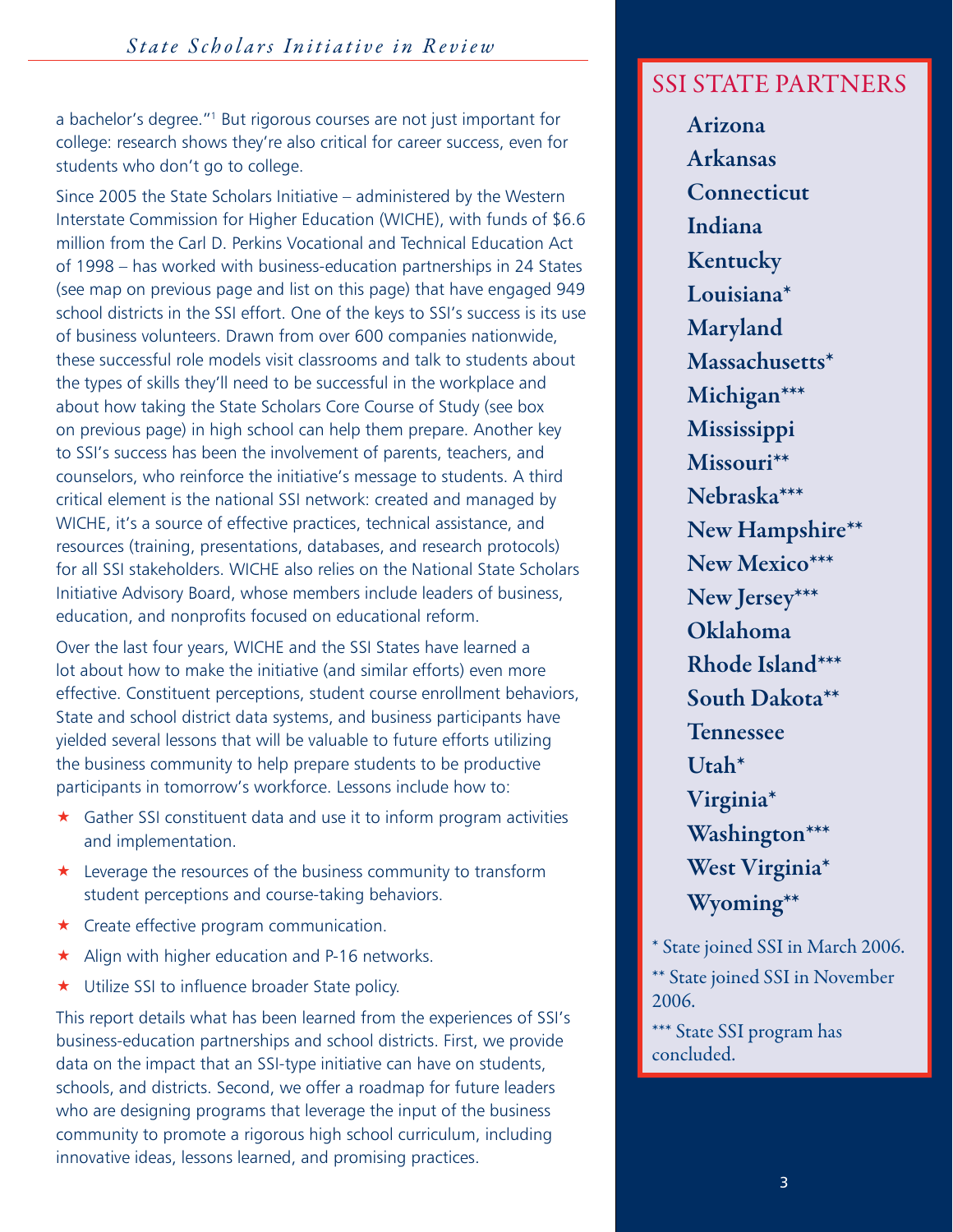a bachelor's degree."1 But rigorous courses are not just important for college: research shows they're also critical for career success, even for students who don't go to college.

Since 2005 the State Scholars Initiative – administered by the Western Interstate Commission for Higher Education (WICHE), with funds of \$6.6 million from the Carl D. Perkins Vocational and Technical Education Act of 1998 – has worked with business-education partnerships in 24 States (see map on previous page and list on this page) that have engaged 949 school districts in the SSI effort. One of the keys to SSI's success is its use of business volunteers. Drawn from over 600 companies nationwide, these successful role models visit classrooms and talk to students about the types of skills they'll need to be successful in the workplace and about how taking the State Scholars Core Course of Study (see box on previous page) in high school can help them prepare. Another key to SSI's success has been the involvement of parents, teachers, and counselors, who reinforce the initiative's message to students. A third critical element is the national SSI network: created and managed by WICHE, it's a source of effective practices, technical assistance, and resources (training, presentations, databases, and research protocols) for all SSI stakeholders. WICHE also relies on the National State Scholars Initiative Advisory Board, whose members include leaders of business, education, and nonprofits focused on educational reform.

Over the last four years, WICHE and the SSI States have learned a lot about how to make the initiative (and similar efforts) even more effective. Constituent perceptions, student course enrollment behaviors, State and school district data systems, and business participants have yielded several lessons that will be valuable to future efforts utilizing the business community to help prepare students to be productive participants in tomorrow's workforce. Lessons include how to:

- $\star$  Gather SSI constituent data and use it to inform program activities and implementation.
- **\*** Leverage the resources of the business community to transform student perceptions and course-taking behaviors.
- $\star$  Create effective program communication.
- $\star$  Align with higher education and P-16 networks.
- ★ Utilize SSI to influence broader State policy.

This report details what has been learned from the experiences of SSI's business-education partnerships and school districts. First, we provide data on the impact that an SSI-type initiative can have on students, schools, and districts. Second, we offer a roadmap for future leaders who are designing programs that leverage the input of the business community to promote a rigorous high school curriculum, including innovative ideas, lessons learned, and promising practices.

# SSI STATE PARTNERS

Arizona Arkansas **Connecticut** Indiana Kentucky Louisiana\* Maryland Massachusetts\* Michigan\*\*\* Mississippi Missouri\*\* Nebraska\*\*\* New Hampshire\*\* New Mexico\*\*\* New Jersey\*\*\* Oklahoma Rhode Island\*\*\* South Dakota\*\* Tennessee Utah\* Virginia\* Washington\*\*\* West Virginia\* Wyoming\*\*

\* State joined SSI in March 2006. \*\* State joined SSI in November 2006.

\*\*\* State SSI program has concluded.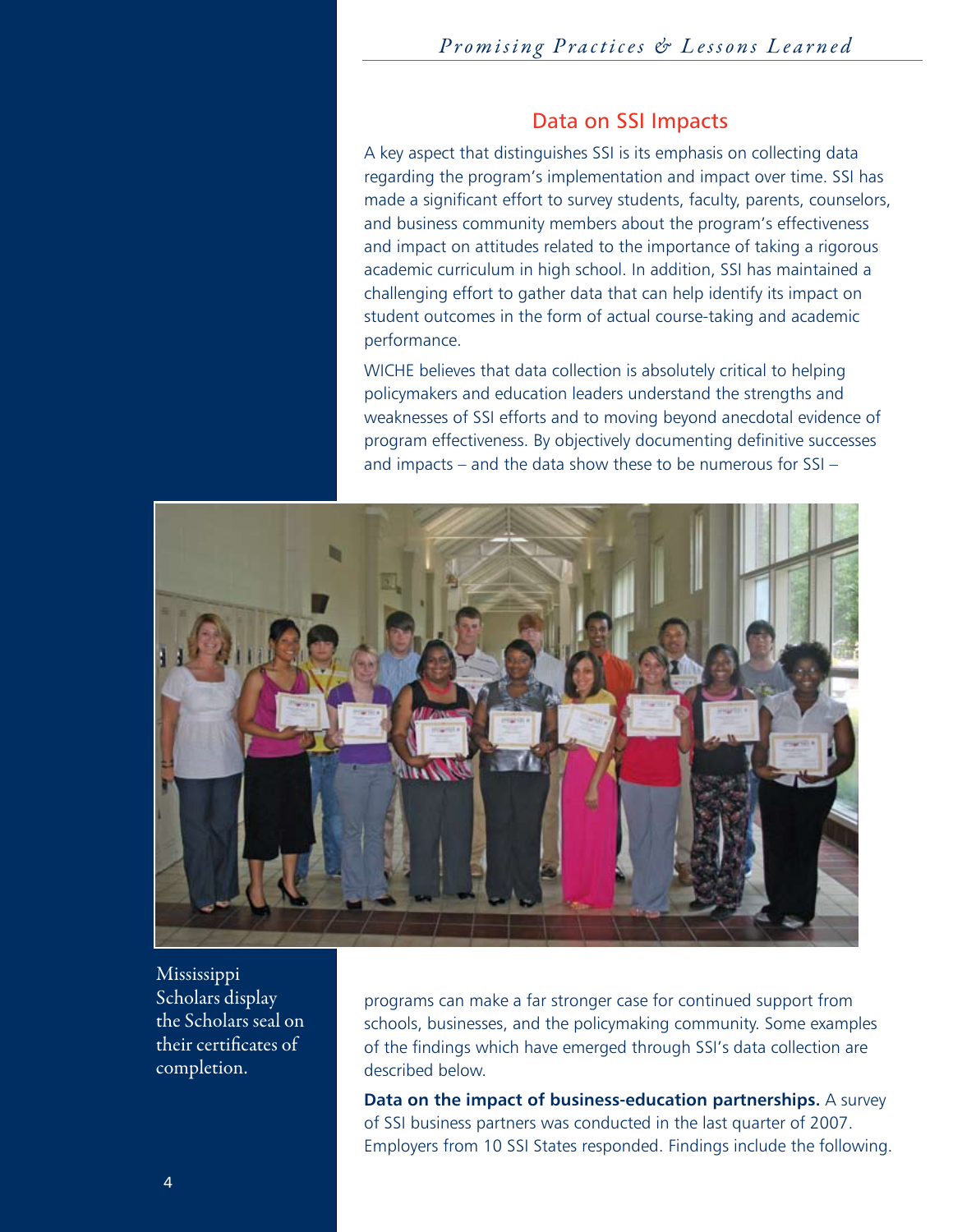#### Data on SSI Impacts

A key aspect that distinguishes SSI is its emphasis on collecting data regarding the program's implementation and impact over time. SSI has made a significant effort to survey students, faculty, parents, counselors, and business community members about the program's effectiveness and impact on attitudes related to the importance of taking a rigorous academic curriculum in high school. In addition, SSI has maintained a challenging effort to gather data that can help identify its impact on student outcomes in the form of actual course-taking and academic performance.

WICHE believes that data collection is absolutely critical to helping policymakers and education leaders understand the strengths and weaknesses of SSI efforts and to moving beyond anecdotal evidence of program effectiveness. By objectively documenting definitive successes and impacts – and the data show these to be numerous for SSI –



Mississippi Scholars display the Scholars seal on their certificates of completion.

programs can make a far stronger case for continued support from schools, businesses, and the policymaking community. Some examples of the findings which have emerged through SSI's data collection are described below.

**Data on the impact of business-education partnerships.** A survey of SSI business partners was conducted in the last quarter of 2007. Employers from 10 SSI States responded. Findings include the following.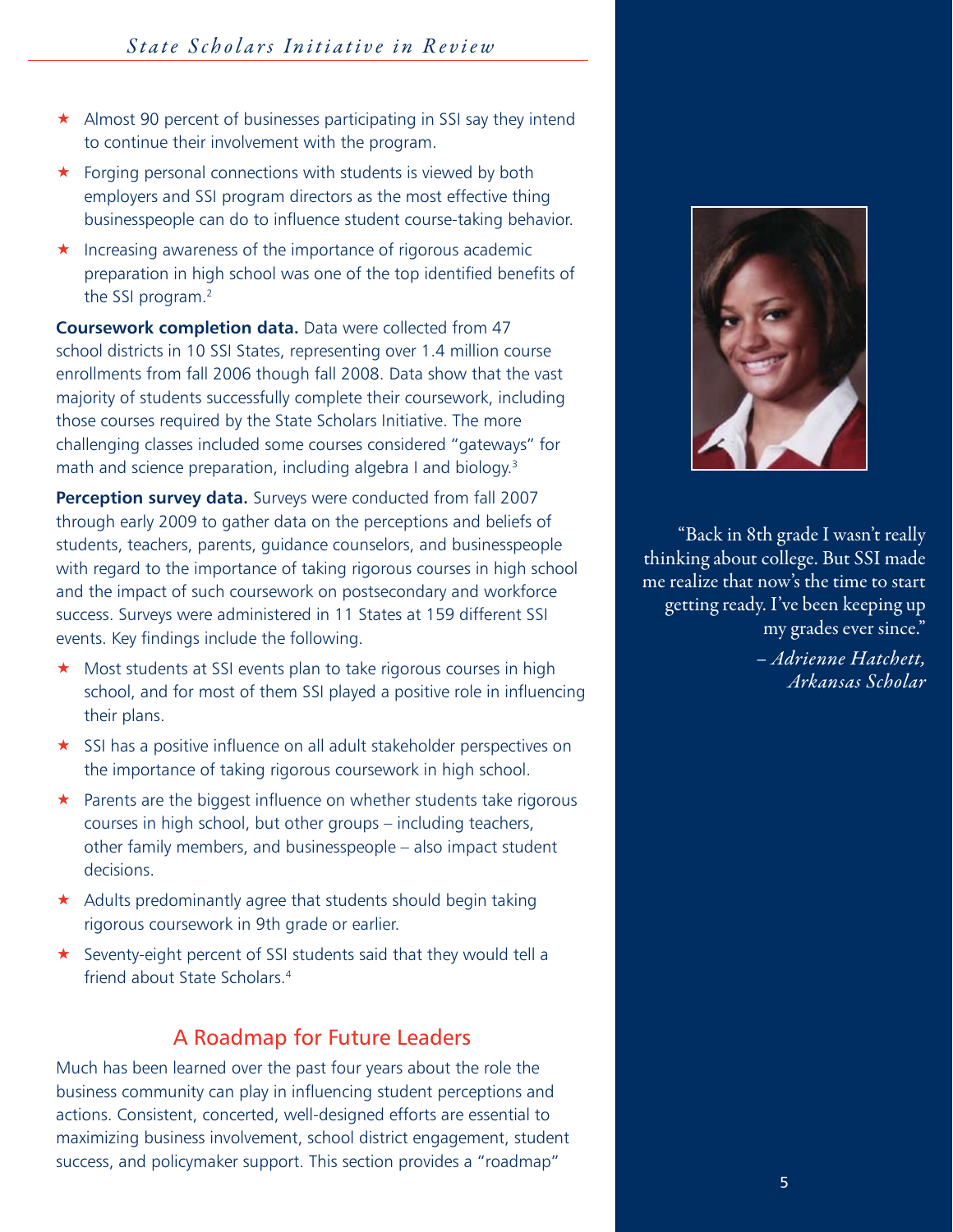- $\star$  Almost 90 percent of businesses participating in SSI say they intend to continue their involvement with the program.
- $\star$  Forging personal connections with students is viewed by both employers and SSI program directors as the most effective thing businesspeople can do to influence student course-taking behavior.
- $\star$  Increasing awareness of the importance of rigorous academic preparation in high school was one of the top identified benefits of the SSI program.2

**Coursework completion data.** Data were collected from 47 school districts in 10 SSI States, representing over 1.4 million course enrollments from fall 2006 though fall 2008. Data show that the vast majority of students successfully complete their coursework, including those courses required by the State Scholars Initiative. The more challenging classes included some courses considered "gateways" for math and science preparation, including algebra I and biology.<sup>3</sup>

**Perception survey data.** Surveys were conducted from fall 2007 through early 2009 to gather data on the perceptions and beliefs of students, teachers, parents, guidance counselors, and businesspeople with regard to the importance of taking rigorous courses in high school and the impact of such coursework on postsecondary and workforce success. Surveys were administered in 11 States at 159 different SSI events. Key findings include the following.

- ★ Most students at SSI events plan to take rigorous courses in high school, and for most of them SSI played a positive role in influencing their plans.
- $\star$  SSI has a positive influence on all adult stakeholder perspectives on the importance of taking rigorous coursework in high school.
- $\star$  Parents are the biggest influence on whether students take rigorous courses in high school, but other groups – including teachers, other family members, and businesspeople – also impact student decisions.
- $\star$  Adults predominantly agree that students should begin taking rigorous coursework in 9th grade or earlier.
- Seventy-eight percent of SSI students said that they would tell a friend about State Scholars<sup>4</sup>

# A Roadmap for Future Leaders

Much has been learned over the past four years about the role the business community can play in influencing student perceptions and actions. Consistent, concerted, well-designed efforts are essential to maximizing business involvement, school district engagement, student success, and policymaker support. This section provides a "roadmap"



"Back in 8th grade I wasn't really thinking about college. But SSI made me realize that now's the time to start getting ready. I've been keeping up my grades ever since."

> *– Adrienne Hatchett, Arkansas Scholar*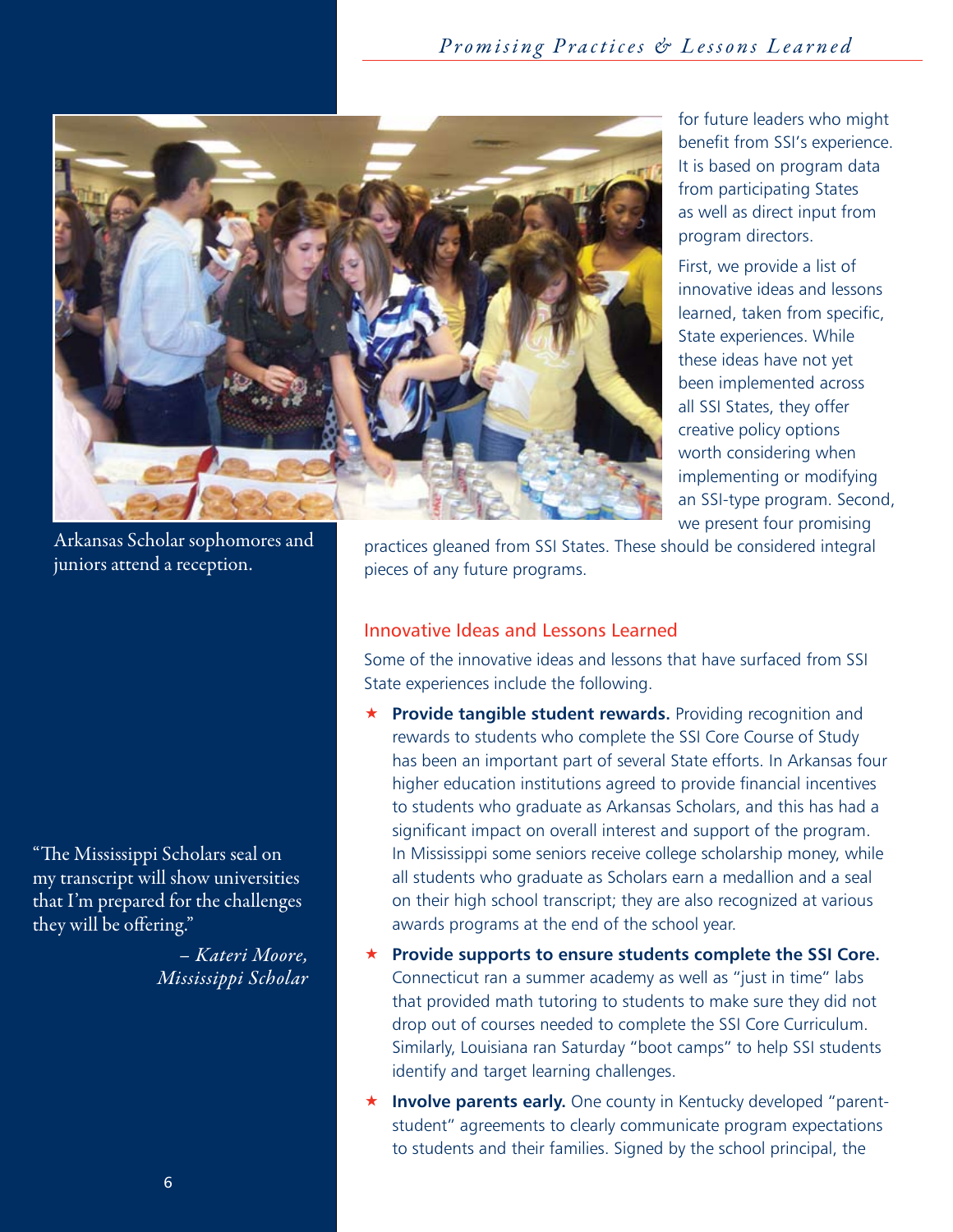*Promising Practices & Lessons Learned State Scholars Initiative in Review*



for future leaders who might benefit from SSI's experience. It is based on program data from participating States as well as direct input from program directors.

First, we provide a list of innovative ideas and lessons learned, taken from specific, State experiences. While these ideas have not yet been implemented across all SSI States, they offer creative policy options worth considering when implementing or modifying an SSI-type program. Second, we present four promising

Arkansas Scholar sophomores and juniors attend a reception.

"The Mississippi Scholars seal on my transcript will show universities that I'm prepared for the challenges they will be offering."

> *– Kateri Moore, Mississippi Scholar*

practices gleaned from SSI States. These should be considered integral pieces of any future programs.

#### Innovative Ideas and Lessons Learned

Some of the innovative ideas and lessons that have surfaced from SSI State experiences include the following.

- **Provide tangible student rewards.** Providing recognition and rewards to students who complete the SSI Core Course of Study has been an important part of several State efforts. In Arkansas four higher education institutions agreed to provide financial incentives to students who graduate as Arkansas Scholars, and this has had a significant impact on overall interest and support of the program. In Mississippi some seniors receive college scholarship money, while all students who graduate as Scholars earn a medallion and a seal on their high school transcript; they are also recognized at various awards programs at the end of the school year.
- **Provide supports to ensure students complete the SSI Core.** Connecticut ran a summer academy as well as "just in time" labs that provided math tutoring to students to make sure they did not drop out of courses needed to complete the SSI Core Curriculum. Similarly, Louisiana ran Saturday "boot camps" to help SSI students identify and target learning challenges.
- **Involve parents early.** One county in Kentucky developed "parentstudent" agreements to clearly communicate program expectations to students and their families. Signed by the school principal, the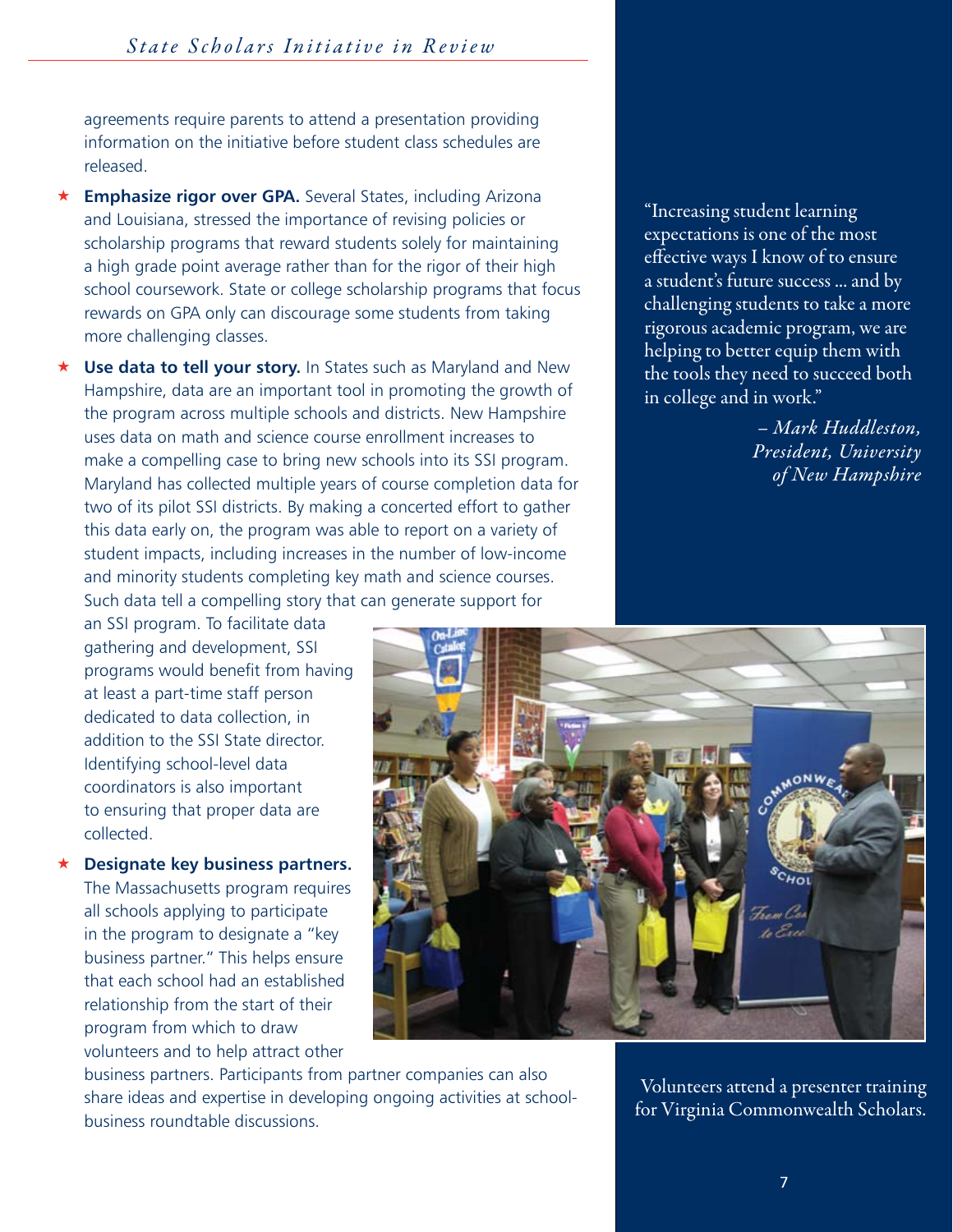agreements require parents to attend a presentation providing information on the initiative before student class schedules are released.

- **Emphasize rigor over GPA.** Several States, including Arizona and Louisiana, stressed the importance of revising policies or scholarship programs that reward students solely for maintaining a high grade point average rather than for the rigor of their high school coursework. State or college scholarship programs that focus rewards on GPA only can discourage some students from taking more challenging classes.
- **Use data to tell your story.** In States such as Maryland and New Hampshire, data are an important tool in promoting the growth of the program across multiple schools and districts. New Hampshire uses data on math and science course enrollment increases to make a compelling case to bring new schools into its SSI program. Maryland has collected multiple years of course completion data for two of its pilot SSI districts. By making a concerted effort to gather this data early on, the program was able to report on a variety of student impacts, including increases in the number of low-income and minority students completing key math and science courses. Such data tell a compelling story that can generate support for

"Increasing student learning expectations is one of the most effective ways I know of to ensure a student's future success ... and by challenging students to take a more rigorous academic program, we are helping to better equip them with the tools they need to succeed both in college and in work."

> *– Mark Huddleston, President, University of New Hampshire*

an SSI program. To facilitate data gathering and development, SSI programs would benefit from having at least a part-time staff person dedicated to data collection, in addition to the SSI State director. Identifying school-level data coordinators is also important to ensuring that proper data are collected.

 **Designate key business partners.** The Massachusetts program requires all schools applying to participate in the program to designate a "key business partner." This helps ensure that each school had an established relationship from the start of their program from which to draw volunteers and to help attract other



business partners. Participants from partner companies can also share ideas and expertise in developing ongoing activities at schoolbusiness roundtable discussions.

Volunteers attend a presenter training for Virginia Commonwealth Scholars.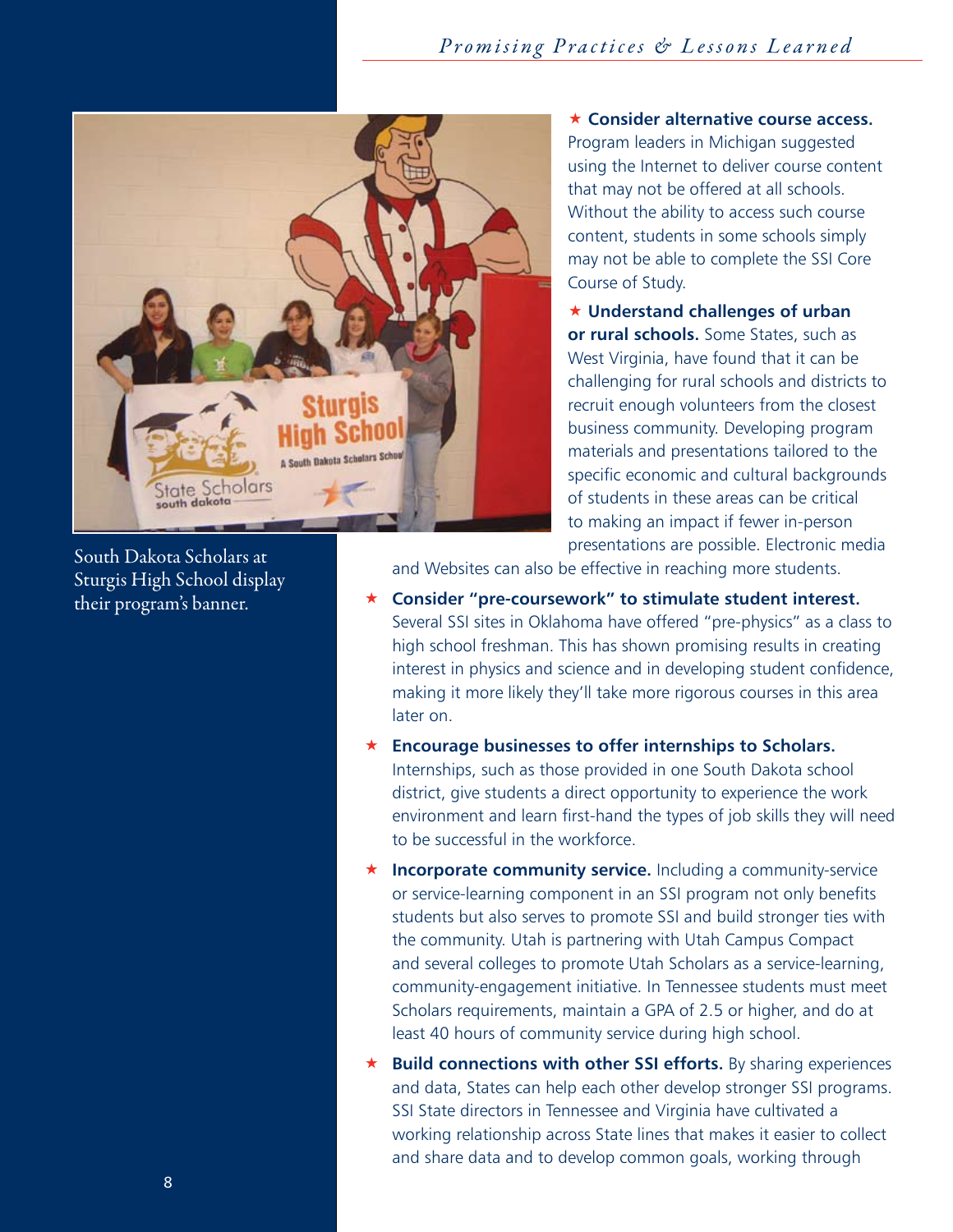

South Dakota Scholars at Sturgis High School display their program's banner.

 **Consider alternative course access.** Program leaders in Michigan suggested using the Internet to deliver course content that may not be offered at all schools. Without the ability to access such course content, students in some schools simply may not be able to complete the SSI Core Course of Study.

 **Understand challenges of urban or rural schools.** Some States, such as West Virginia, have found that it can be challenging for rural schools and districts to recruit enough volunteers from the closest business community. Developing program materials and presentations tailored to the specific economic and cultural backgrounds of students in these areas can be critical to making an impact if fewer in-person presentations are possible. Electronic media

and Websites can also be effective in reaching more students.

- **Consider "pre-coursework" to stimulate student interest.** Several SSI sites in Oklahoma have offered "pre-physics" as a class to high school freshman. This has shown promising results in creating interest in physics and science and in developing student confidence, making it more likely they'll take more rigorous courses in this area later on.
- **Encourage businesses to offer internships to Scholars.** Internships, such as those provided in one South Dakota school district, give students a direct opportunity to experience the work environment and learn first-hand the types of job skills they will need to be successful in the workforce.
- **Incorporate community service.** Including a community-service or service-learning component in an SSI program not only benefits students but also serves to promote SSI and build stronger ties with the community. Utah is partnering with Utah Campus Compact and several colleges to promote Utah Scholars as a service-learning, community-engagement initiative. In Tennessee students must meet Scholars requirements, maintain a GPA of 2.5 or higher, and do at least 40 hours of community service during high school.
- **Build connections with other SSI efforts.** By sharing experiences and data, States can help each other develop stronger SSI programs. SSI State directors in Tennessee and Virginia have cultivated a working relationship across State lines that makes it easier to collect and share data and to develop common goals, working through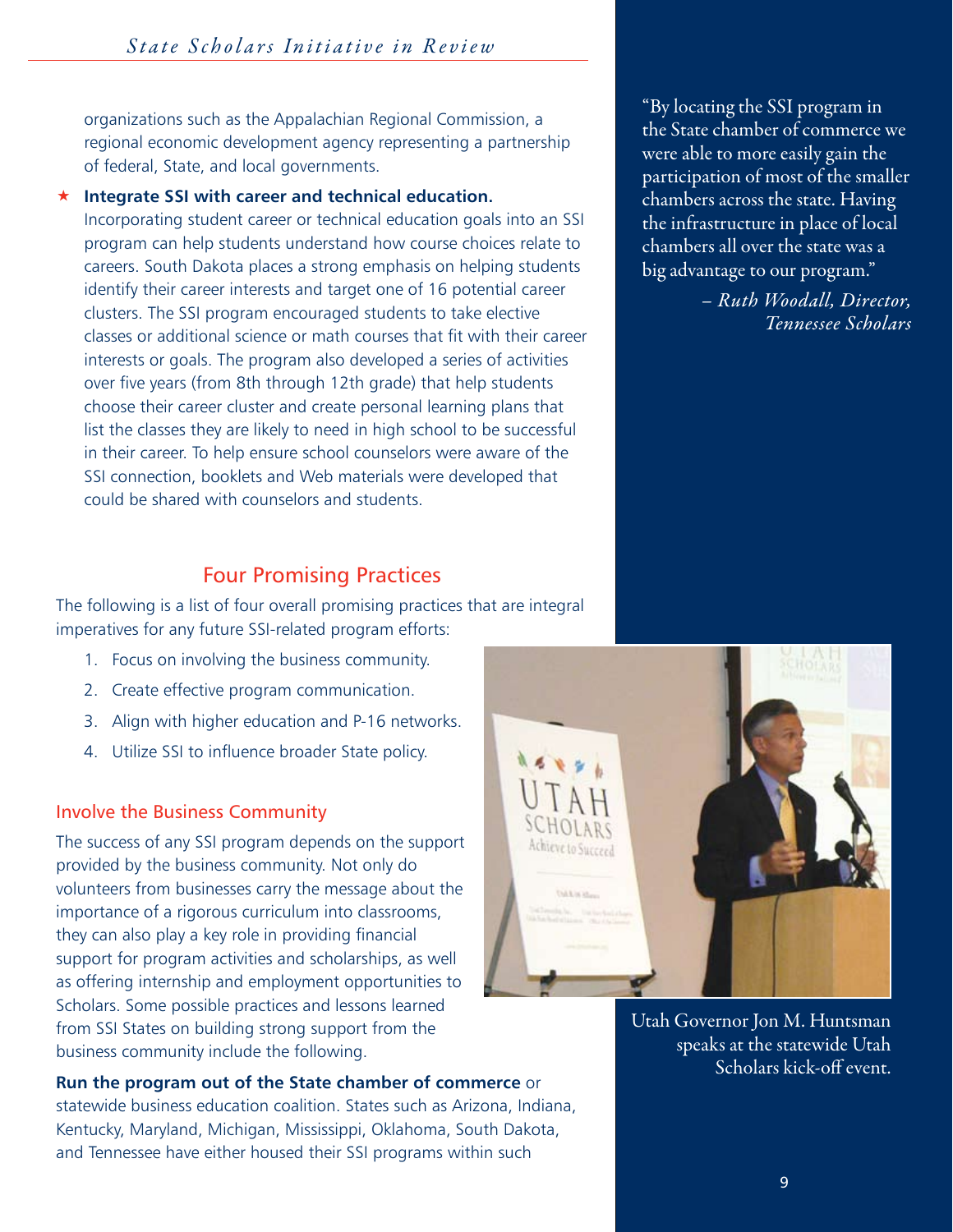organizations such as the Appalachian Regional Commission, a regional economic development agency representing a partnership of federal, State, and local governments.

#### **Integrate SSI with career and technical education.**

Incorporating student career or technical education goals into an SSI program can help students understand how course choices relate to careers. South Dakota places a strong emphasis on helping students identify their career interests and target one of 16 potential career clusters. The SSI program encouraged students to take elective classes or additional science or math courses that fit with their career interests or goals. The program also developed a series of activities over five years (from 8th through 12th grade) that help students choose their career cluster and create personal learning plans that list the classes they are likely to need in high school to be successful in their career. To help ensure school counselors were aware of the SSI connection, booklets and Web materials were developed that could be shared with counselors and students.

"By locating the SSI program in the State chamber of commerce we were able to more easily gain the participation of most of the smaller chambers across the state. Having the infrastructure in place of local chambers all over the state was a big advantage to our program."

> *– Ruth Woodall, Director, Tennessee Scholars*

# Four Promising Practices

The following is a list of four overall promising practices that are integral imperatives for any future SSI-related program efforts:

- 1. Focus on involving the business community.
- 2. Create effective program communication.
- 3. Align with higher education and P-16 networks.
- 4. Utilize SSI to influence broader State policy.

#### Involve the Business Community

The success of any SSI program depends on the support provided by the business community. Not only do volunteers from businesses carry the message about the importance of a rigorous curriculum into classrooms, they can also play a key role in providing financial support for program activities and scholarships, as well as offering internship and employment opportunities to Scholars. Some possible practices and lessons learned from SSI States on building strong support from the business community include the following.

**Run the program out of the State chamber of commerce** or statewide business education coalition. States such as Arizona, Indiana, Kentucky, Maryland, Michigan, Mississippi, Oklahoma, South Dakota, and Tennessee have either housed their SSI programs within such



Utah Governor Jon M. Huntsman speaks at the statewide Utah Scholars kick-off event.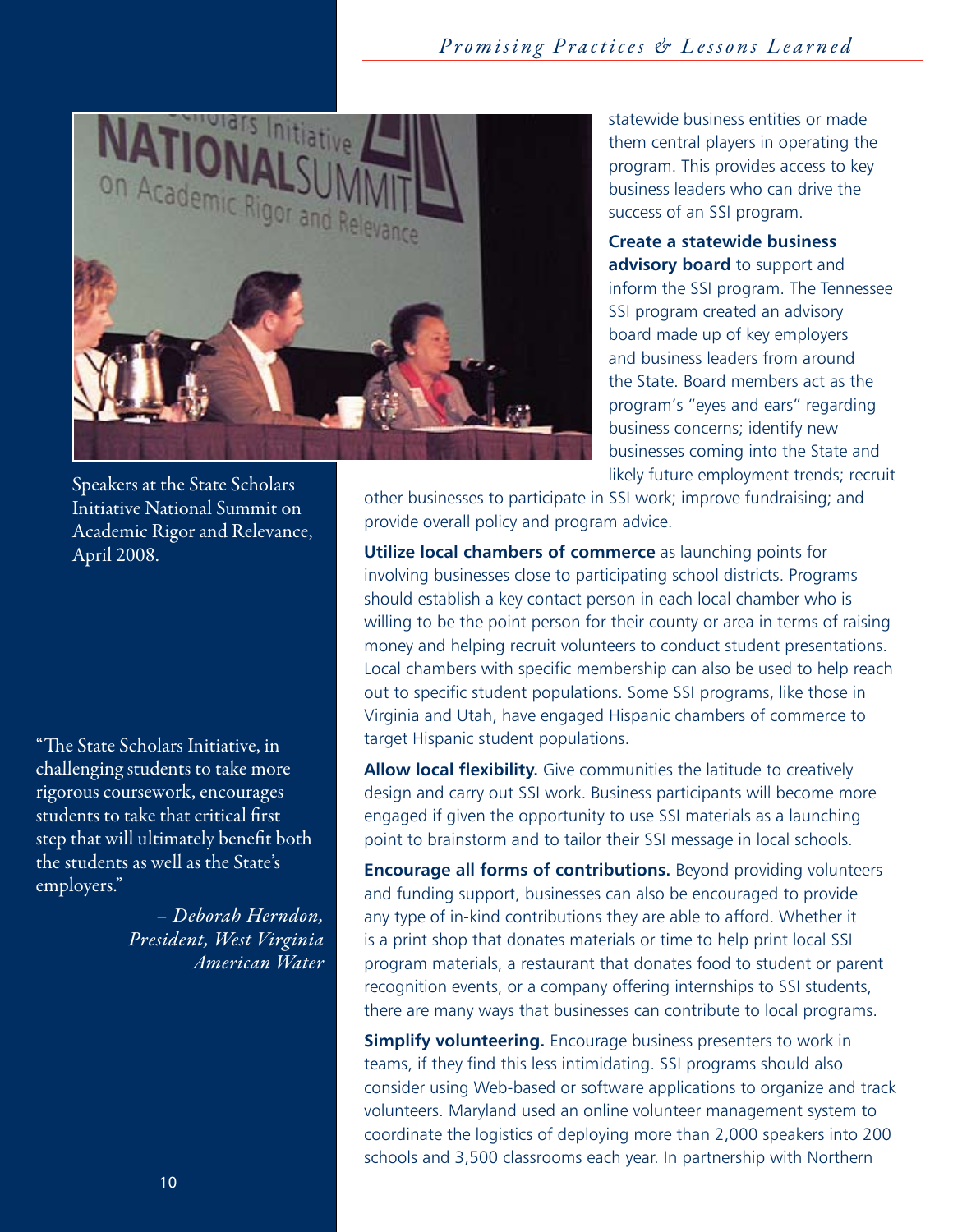

Speakers at the State Scholars Initiative National Summit on Academic Rigor and Relevance, April 2008.

"The State Scholars Initiative, in challenging students to take more rigorous coursework, encourages students to take that critical first step that will ultimately benefit both the students as well as the State's employers."

> *– Deborah Herndon, President, West Virginia American Water*

statewide business entities or made them central players in operating the program. This provides access to key business leaders who can drive the success of an SSI program.

**Create a statewide business advisory board** to support and inform the SSI program. The Tennessee SSI program created an advisory board made up of key employers and business leaders from around the State. Board members act as the program's "eyes and ears" regarding business concerns; identify new businesses coming into the State and likely future employment trends; recruit

other businesses to participate in SSI work; improve fundraising; and provide overall policy and program advice.

**Utilize local chambers of commerce** as launching points for involving businesses close to participating school districts. Programs should establish a key contact person in each local chamber who is willing to be the point person for their county or area in terms of raising money and helping recruit volunteers to conduct student presentations. Local chambers with specific membership can also be used to help reach out to specific student populations. Some SSI programs, like those in Virginia and Utah, have engaged Hispanic chambers of commerce to target Hispanic student populations.

**Allow local flexibility.** Give communities the latitude to creatively design and carry out SSI work. Business participants will become more engaged if given the opportunity to use SSI materials as a launching point to brainstorm and to tailor their SSI message in local schools.

**Encourage all forms of contributions.** Beyond providing volunteers and funding support, businesses can also be encouraged to provide any type of in-kind contributions they are able to afford. Whether it is a print shop that donates materials or time to help print local SSI program materials, a restaurant that donates food to student or parent recognition events, or a company offering internships to SSI students, there are many ways that businesses can contribute to local programs.

**Simplify volunteering.** Encourage business presenters to work in teams, if they find this less intimidating. SSI programs should also consider using Web-based or software applications to organize and track volunteers. Maryland used an online volunteer management system to coordinate the logistics of deploying more than 2,000 speakers into 200 schools and 3,500 classrooms each year. In partnership with Northern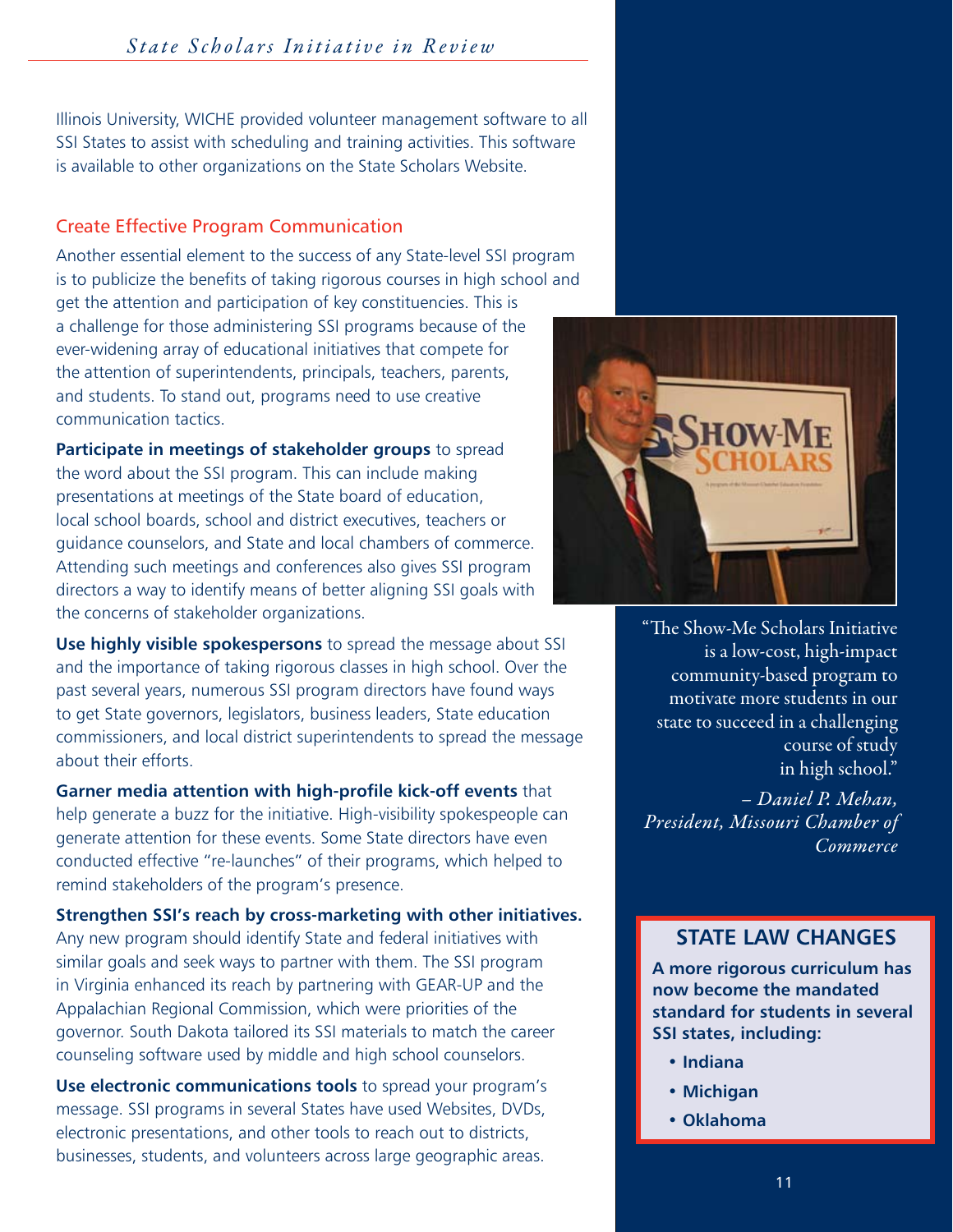# *Promising Practices & Lessons Learned State Scholars Initiative in Review*

Illinois University, WICHE provided volunteer management software to all SSI States to assist with scheduling and training activities. This software is available to other organizations on the State Scholars Website.

#### Create Effective Program Communication

Another essential element to the success of any State-level SSI program is to publicize the benefits of taking rigorous courses in high school and get the attention and participation of key constituencies. This is a challenge for those administering SSI programs because of the ever-widening array of educational initiatives that compete for the attention of superintendents, principals, teachers, parents, and students. To stand out, programs need to use creative communication tactics.

**Participate in meetings of stakeholder groups** to spread the word about the SSI program. This can include making presentations at meetings of the State board of education, local school boards, school and district executives, teachers or guidance counselors, and State and local chambers of commerce. Attending such meetings and conferences also gives SSI program directors a way to identify means of better aligning SSI goals with the concerns of stakeholder organizations.

**Use highly visible spokespersons** to spread the message about SSI and the importance of taking rigorous classes in high school. Over the past several years, numerous SSI program directors have found ways to get State governors, legislators, business leaders, State education commissioners, and local district superintendents to spread the message about their efforts.

**Garner media attention with high-profile kick-off events** that help generate a buzz for the initiative. High-visibility spokespeople can generate attention for these events. Some State directors have even conducted effective "re-launches" of their programs, which helped to remind stakeholders of the program's presence.

**Strengthen SSI's reach by cross-marketing with other initiatives.** Any new program should identify State and federal initiatives with similar goals and seek ways to partner with them. The SSI program in Virginia enhanced its reach by partnering with GEAR-UP and the Appalachian Regional Commission, which were priorities of the governor. South Dakota tailored its SSI materials to match the career counseling software used by middle and high school counselors.

**Use electronic communications tools** to spread your program's message. SSI programs in several States have used Websites, DVDs, electronic presentations, and other tools to reach out to districts, businesses, students, and volunteers across large geographic areas.



"The Show-Me Scholars Initiative is a low-cost, high-impact community-based program to motivate more students in our state to succeed in a challenging course of study in high school."

*– Daniel P. Mehan, President, Missouri Chamber of Commerce*

# **STATE LAW CHANGES**

**A more rigorous curriculum has now become the mandated standard for students in several SSI states, including:**

- **Indiana**
- **Michigan**
- **Oklahoma**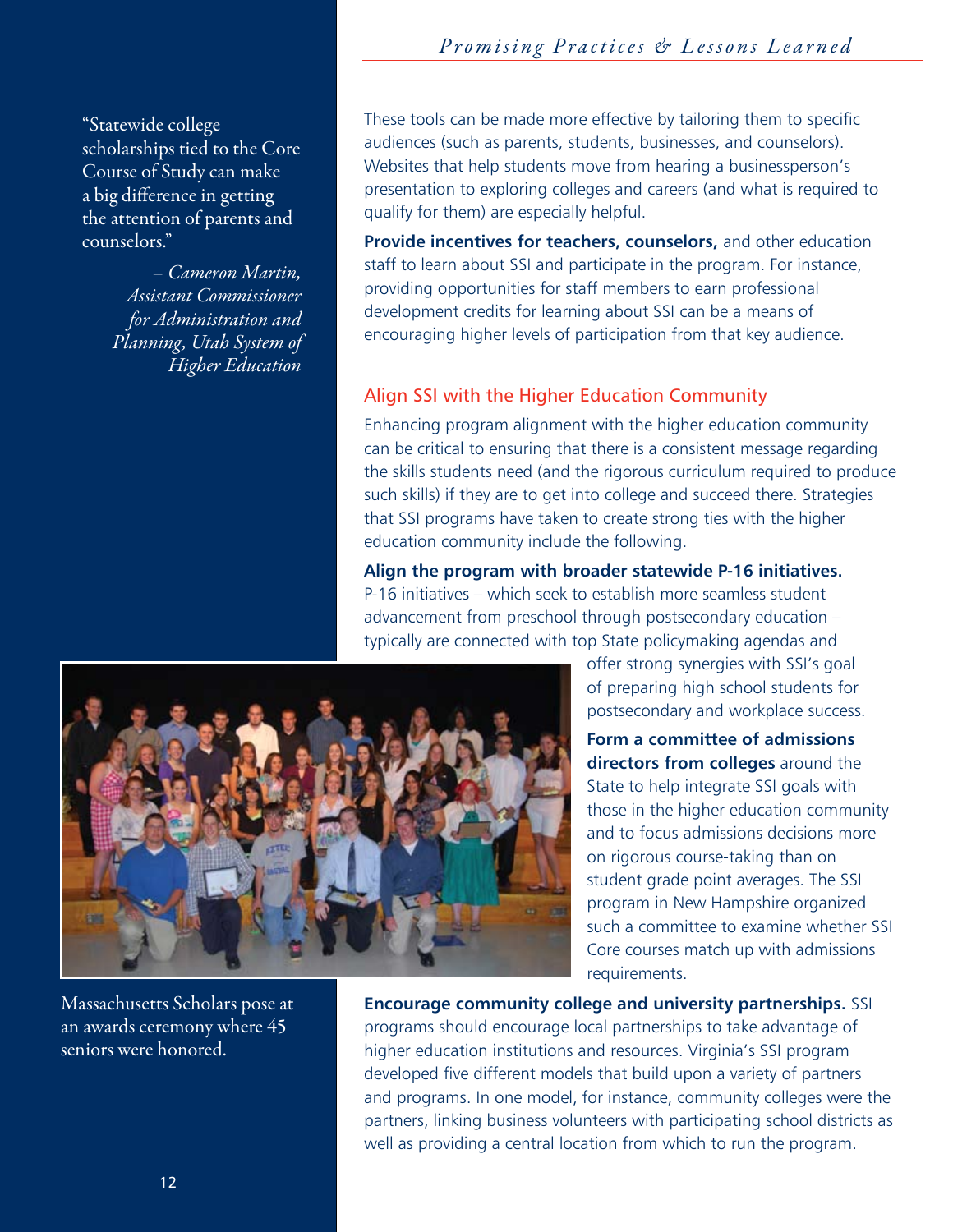"Statewide college scholarships tied to the Core Course of Study can make a big difference in getting the attention of parents and counselors."

> *– Cameron Martin, Assistant Commissioner for Administration and Planning, Utah System of Higher Education*

These tools can be made more effective by tailoring them to specific audiences (such as parents, students, businesses, and counselors). Websites that help students move from hearing a businessperson's presentation to exploring colleges and careers (and what is required to qualify for them) are especially helpful.

**Provide incentives for teachers, counselors,** and other education staff to learn about SSI and participate in the program. For instance, providing opportunities for staff members to earn professional development credits for learning about SSI can be a means of encouraging higher levels of participation from that key audience.

#### Align SSI with the Higher Education Community

Enhancing program alignment with the higher education community can be critical to ensuring that there is a consistent message regarding the skills students need (and the rigorous curriculum required to produce such skills) if they are to get into college and succeed there. Strategies that SSI programs have taken to create strong ties with the higher education community include the following.

**Align the program with broader statewide P-16 initiatives.**  P-16 initiatives – which seek to establish more seamless student advancement from preschool through postsecondary education – typically are connected with top State policymaking agendas and

> offer strong synergies with SSI's goal of preparing high school students for postsecondary and workplace success.

**Form a committee of admissions directors from colleges** around the State to help integrate SSI goals with those in the higher education community and to focus admissions decisions more on rigorous course-taking than on student grade point averages. The SSI program in New Hampshire organized such a committee to examine whether SSI Core courses match up with admissions requirements.



Massachusetts Scholars pose at an awards ceremony where 45 seniors were honored.

**Encourage community college and university partnerships.** SSI programs should encourage local partnerships to take advantage of higher education institutions and resources. Virginia's SSI program developed five different models that build upon a variety of partners and programs. In one model, for instance, community colleges were the partners, linking business volunteers with participating school districts as well as providing a central location from which to run the program.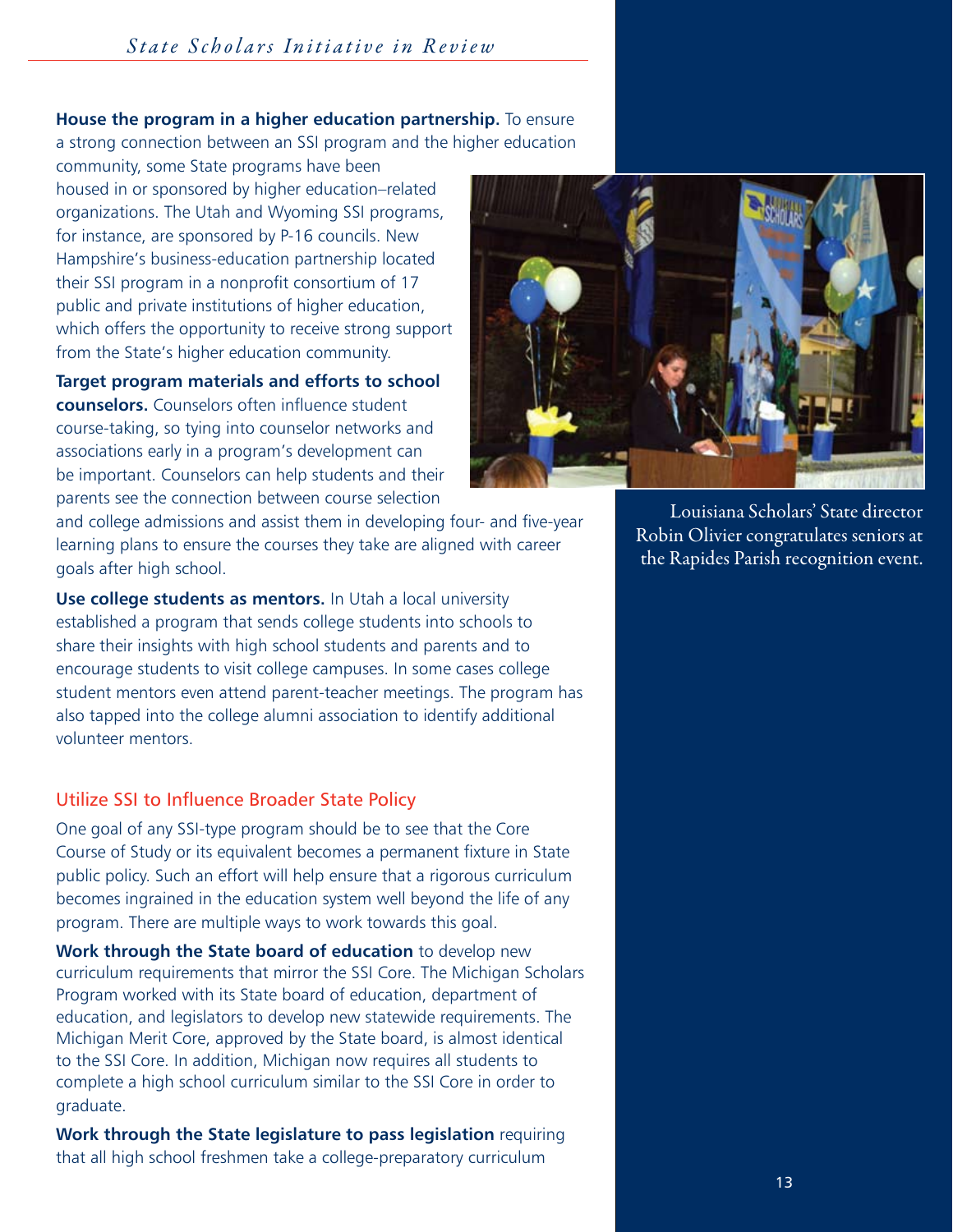# **House the program in a higher education partnership.** To ensure

a strong connection between an SSI program and the higher education

community, some State programs have been housed in or sponsored by higher education–related organizations. The Utah and Wyoming SSI programs, for instance, are sponsored by P-16 councils. New Hampshire's business-education partnership located their SSI program in a nonprofit consortium of 17 public and private institutions of higher education, which offers the opportunity to receive strong support from the State's higher education community.

**Target program materials and efforts to school counselors.** Counselors often influence student course-taking, so tying into counselor networks and associations early in a program's development can be important. Counselors can help students and their parents see the connection between course selection

and college admissions and assist them in developing four- and five-year learning plans to ensure the courses they take are aligned with career goals after high school.

**Use college students as mentors.** In Utah a local university established a program that sends college students into schools to share their insights with high school students and parents and to encourage students to visit college campuses. In some cases college student mentors even attend parent-teacher meetings. The program has also tapped into the college alumni association to identify additional volunteer mentors.

#### Utilize SSI to Influence Broader State Policy

One goal of any SSI-type program should be to see that the Core Course of Study or its equivalent becomes a permanent fixture in State public policy. Such an effort will help ensure that a rigorous curriculum becomes ingrained in the education system well beyond the life of any program. There are multiple ways to work towards this goal.

**Work through the State board of education** to develop new curriculum requirements that mirror the SSI Core. The Michigan Scholars Program worked with its State board of education, department of education, and legislators to develop new statewide requirements. The Michigan Merit Core, approved by the State board, is almost identical to the SSI Core. In addition, Michigan now requires all students to complete a high school curriculum similar to the SSI Core in order to graduate.

**Work through the State legislature to pass legislation** requiring that all high school freshmen take a college-preparatory curriculum



 Louisiana Scholars' State director Robin Olivier congratulates seniors at the Rapides Parish recognition event.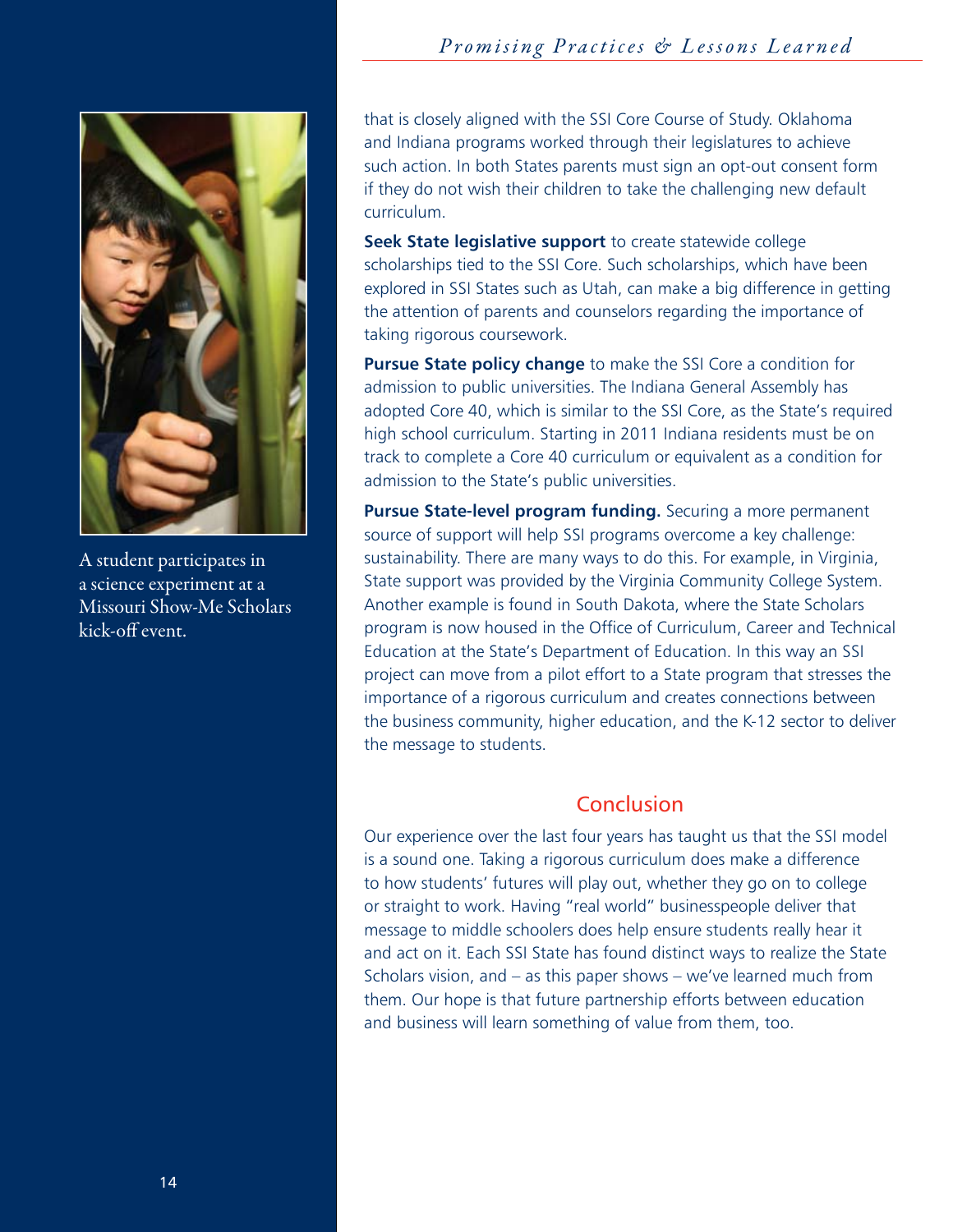# *Promising Practices & Lessons Learned State Scholars Initiative in Review*



A student participates in a science experiment at a Missouri Show-Me Scholars kick-off event.

that is closely aligned with the SSI Core Course of Study. Oklahoma and Indiana programs worked through their legislatures to achieve such action. In both States parents must sign an opt-out consent form if they do not wish their children to take the challenging new default curriculum.

**Seek State legislative support** to create statewide college scholarships tied to the SSI Core. Such scholarships, which have been explored in SSI States such as Utah, can make a big difference in getting the attention of parents and counselors regarding the importance of taking rigorous coursework.

**Pursue State policy change** to make the SSI Core a condition for admission to public universities. The Indiana General Assembly has adopted Core 40, which is similar to the SSI Core, as the State's required high school curriculum. Starting in 2011 Indiana residents must be on track to complete a Core 40 curriculum or equivalent as a condition for admission to the State's public universities.

**Pursue State-level program funding.** Securing a more permanent source of support will help SSI programs overcome a key challenge: sustainability. There are many ways to do this. For example, in Virginia, State support was provided by the Virginia Community College System. Another example is found in South Dakota, where the State Scholars program is now housed in the Office of Curriculum, Career and Technical Education at the State's Department of Education. In this way an SSI project can move from a pilot effort to a State program that stresses the importance of a rigorous curriculum and creates connections between the business community, higher education, and the K-12 sector to deliver the message to students.

# Conclusion

Our experience over the last four years has taught us that the SSI model is a sound one. Taking a rigorous curriculum does make a difference to how students' futures will play out, whether they go on to college or straight to work. Having "real world" businesspeople deliver that message to middle schoolers does help ensure students really hear it and act on it. Each SSI State has found distinct ways to realize the State Scholars vision, and – as this paper shows – we've learned much from them. Our hope is that future partnership efforts between education and business will learn something of value from them, too.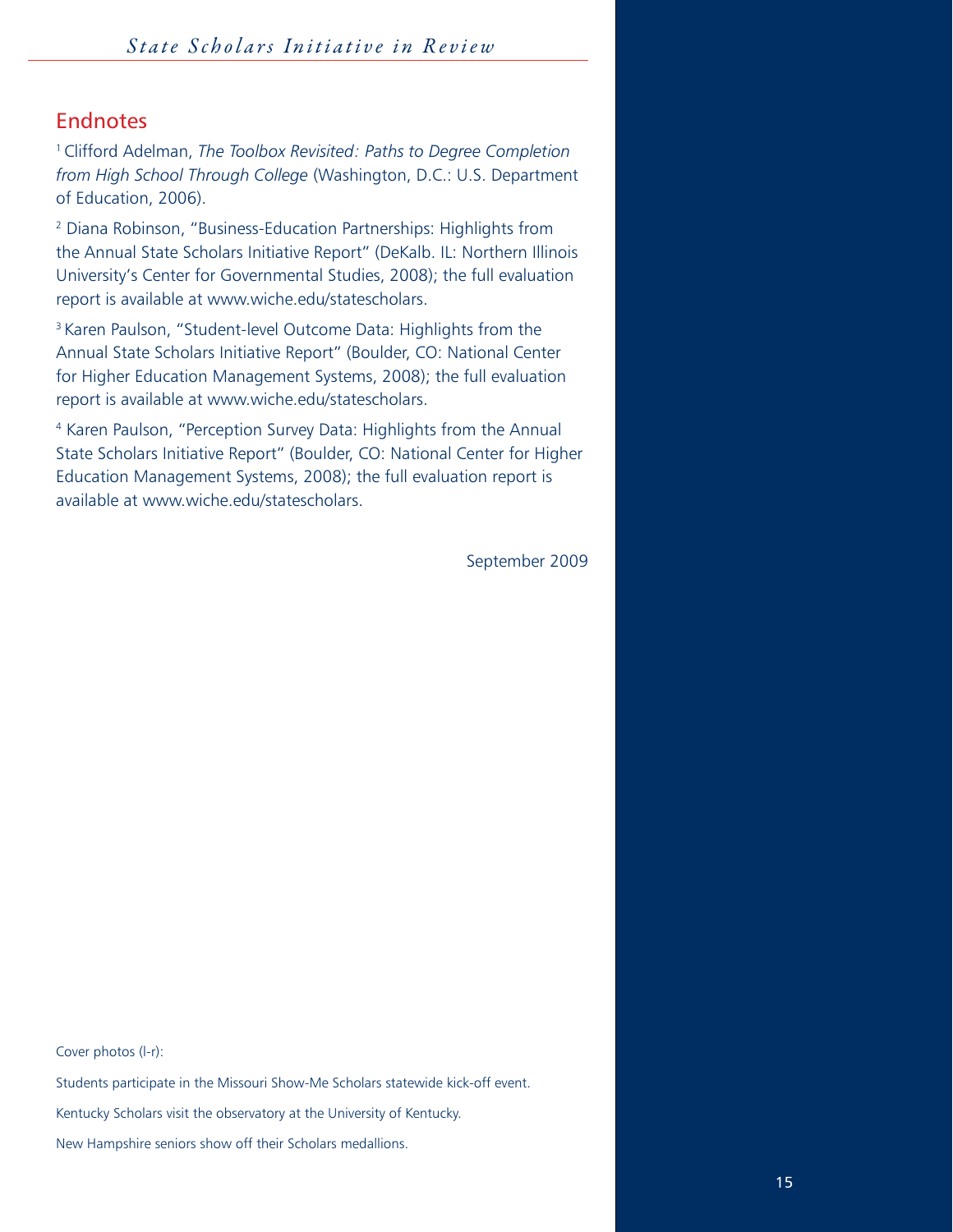# Endnotes

1 Clifford Adelman, *The Toolbox Revisited: Paths to Degree Completion from High School Through College* (Washington, D.C.: U.S. Department of Education, 2006).

2 Diana Robinson, "Business-Education Partnerships: Highlights from the Annual State Scholars Initiative Report" (DeKalb. IL: Northern Illinois University's Center for Governmental Studies, 2008); the full evaluation report is available at www.wiche.edu/statescholars.

<sup>3</sup> Karen Paulson, "Student-level Outcome Data: Highlights from the Annual State Scholars Initiative Report" (Boulder, CO: National Center for Higher Education Management Systems, 2008); the full evaluation report is available at www.wiche.edu/statescholars.

4 Karen Paulson, "Perception Survey Data: Highlights from the Annual State Scholars Initiative Report" (Boulder, CO: National Center for Higher Education Management Systems, 2008); the full evaluation report is available at www.wiche.edu/statescholars.

September 2009

Cover photos (l-r):

Students participate in the Missouri Show-Me Scholars statewide kick-off event.

Kentucky Scholars visit the observatory at the University of Kentucky.

New Hampshire seniors show off their Scholars medallions.